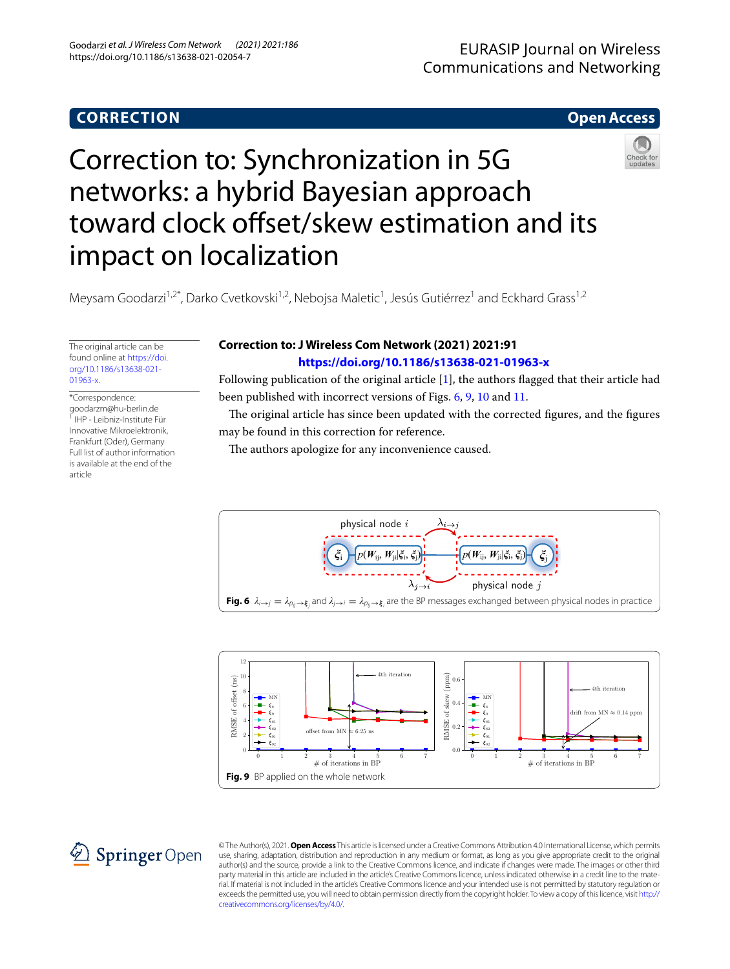## **CORRECTION**

## **Open Access**

# Correction to: Synchronization in 5G networks: a hybrid Bayesian approach toward clock offset/skew estimation and its impact on localization



Meysam Goodarzi<sup>1,2\*</sup>, Darko Cvetkovski<sup>1,2</sup>, Nebojsa Maletic<sup>1</sup>, Jesús Gutiérrez<sup>1</sup> and Eckhard Grass<sup>1,2</sup>

The original article can be found online at [https://doi.](https://doi.org/10.1186/s13638-021-01963-x) [org/10.1186/s13638-021-](https://doi.org/10.1186/s13638-021-01963-x) [01963-x](https://doi.org/10.1186/s13638-021-01963-x).

### \*Correspondence:

goodarzm@hu-berlin.de 1 IHP - Leibniz-Institute Für Innovative Mikroelektronik, Frankfurt (Oder), Germany Full list of author information is available at the end of the article

## **Correction to: J Wireless Com Network (2021) 2021:91 <https://doi.org/10.1186/s13638-021-01963-x>**

Following publication of the original article [\[1](#page-1-0)], the authors flagged that their article had been published with incorrect versions of Figs. [6](#page-0-0), [9,](#page-0-1) [10](#page-1-1) and [11.](#page-1-2)

The original article has since been updated with the corrected figures, and the figures may be found in this correction for reference.

The authors apologize for any inconvenience caused.



<span id="page-0-0"></span>



<span id="page-0-1"></span>© The Author(s), 2021. **Open Access** This article is licensed under a Creative Commons Attribution 4.0 International License, which permits use, sharing, adaptation, distribution and reproduction in any medium or format, as long as you give appropriate credit to the original author(s) and the source, provide a link to the Creative Commons licence, and indicate if changes were made. The images or other third party material in this article are included in the article's Creative Commons licence, unless indicated otherwise in a credit line to the material. If material is not included in the article's Creative Commons licence and your intended use is not permitted by statutory regulation or exceeds the permitted use, you will need to obtain permission directly from the copyright holder. To view a copy of this licence, visit [http://](http://creativecommons.org/licenses/by/4.0/) [creativecommons.org/licenses/by/4.0/.](http://creativecommons.org/licenses/by/4.0/)